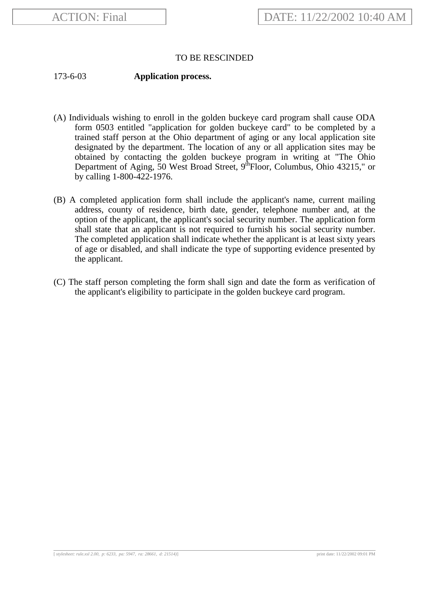## TO BE RESCINDED

173-6-03 **Application process.**

- (A) Individuals wishing to enroll in the golden buckeye card program shall cause ODA form 0503 entitled "application for golden buckeye card" to be completed by a trained staff person at the Ohio department of aging or any local application site designated by the department. The location of any or all application sites may be obtained by contacting the golden buckeye program in writing at "The Ohio Department of Aging, 50 West Broad Street, 9<sup>th</sup>Floor, Columbus, Ohio 43215," or by calling 1-800-422-1976.
- (B) A completed application form shall include the applicant's name, current mailing address, county of residence, birth date, gender, telephone number and, at the option of the applicant, the applicant's social security number. The application form shall state that an applicant is not required to furnish his social security number. The completed application shall indicate whether the applicant is at least sixty years of age or disabled, and shall indicate the type of supporting evidence presented by the applicant.
- (C) The staff person completing the form shall sign and date the form as verification of the applicant's eligibility to participate in the golden buckeye card program.